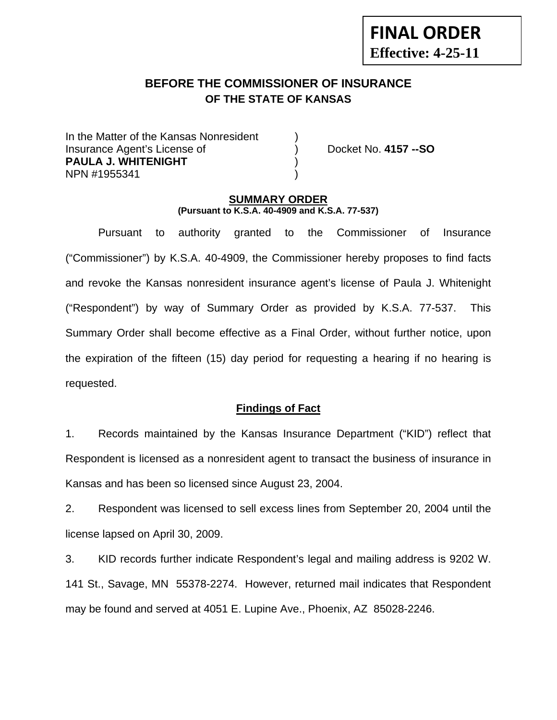# **BEFORE THE COMMISSIONER OF INSURANCE OF THE STATE OF KANSAS**

In the Matter of the Kansas Nonresident Insurance Agent's License of ) Docket No. **4157 --SO PAULA J. WHITENIGHT** ) NPN #1955341 )

**FINAL ORDER**

**Effective: 4-25-11** 

### **SUMMARY ORDER (Pursuant to K.S.A. 40-4909 and K.S.A. 77-537)**

 Pursuant to authority granted to the Commissioner of Insurance ("Commissioner") by K.S.A. 40-4909, the Commissioner hereby proposes to find facts and revoke the Kansas nonresident insurance agent's license of Paula J. Whitenight ("Respondent") by way of Summary Order as provided by K.S.A. 77-537. This Summary Order shall become effective as a Final Order, without further notice, upon the expiration of the fifteen (15) day period for requesting a hearing if no hearing is requested.

### **Findings of Fact**

1. Records maintained by the Kansas Insurance Department ("KID") reflect that Respondent is licensed as a nonresident agent to transact the business of insurance in Kansas and has been so licensed since August 23, 2004.

2. Respondent was licensed to sell excess lines from September 20, 2004 until the license lapsed on April 30, 2009.

3. KID records further indicate Respondent's legal and mailing address is 9202 W. 141 St., Savage, MN 55378-2274. However, returned mail indicates that Respondent may be found and served at 4051 E. Lupine Ave., Phoenix, AZ 85028-2246.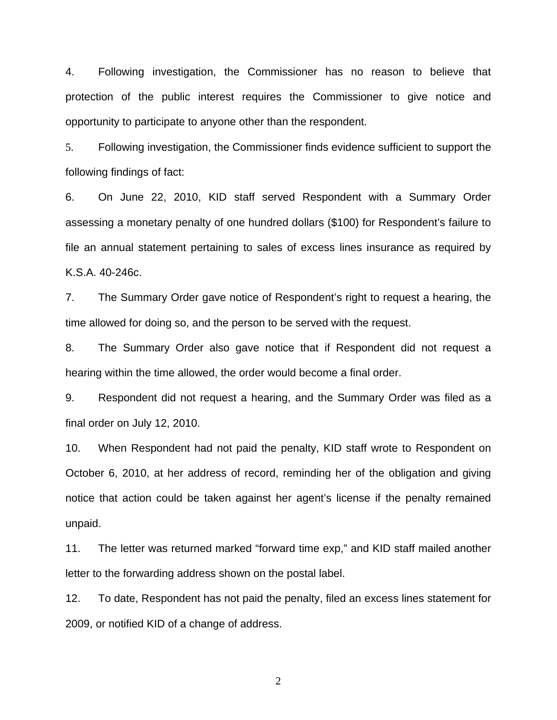4. Following investigation, the Commissioner has no reason to believe that protection of the public interest requires the Commissioner to give notice and opportunity to participate to anyone other than the respondent.

5. Following investigation, the Commissioner finds evidence sufficient to support the following findings of fact:

6. On June 22, 2010, KID staff served Respondent with a Summary Order assessing a monetary penalty of one hundred dollars (\$100) for Respondent's failure to file an annual statement pertaining to sales of excess lines insurance as required by K.S.A. 40-246c.

7. The Summary Order gave notice of Respondent's right to request a hearing, the time allowed for doing so, and the person to be served with the request.

8. The Summary Order also gave notice that if Respondent did not request a hearing within the time allowed, the order would become a final order.

9. Respondent did not request a hearing, and the Summary Order was filed as a final order on July 12, 2010.

10. When Respondent had not paid the penalty, KID staff wrote to Respondent on October 6, 2010, at her address of record, reminding her of the obligation and giving notice that action could be taken against her agent's license if the penalty remained unpaid.

11. The letter was returned marked "forward time exp," and KID staff mailed another letter to the forwarding address shown on the postal label.

12. To date, Respondent has not paid the penalty, filed an excess lines statement for 2009, or notified KID of a change of address.

2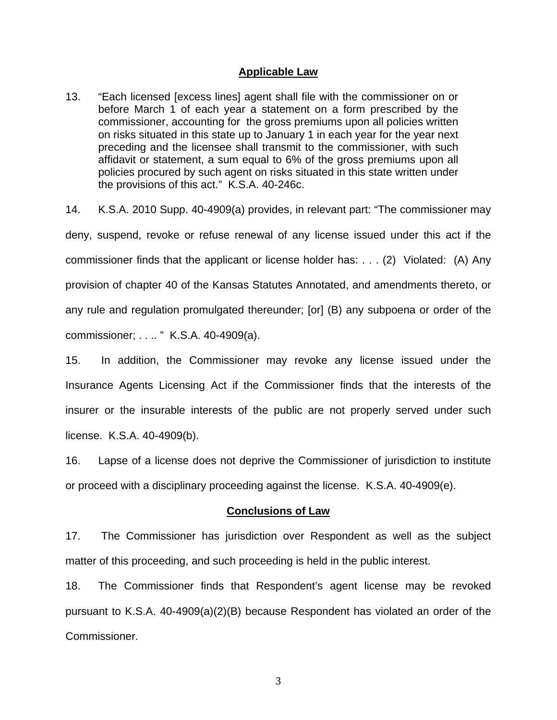### **Applicable Law**

13. "Each licensed [excess lines] agent shall file with the commissioner on or before March 1 of each year a statement on a form prescribed by the commissioner, accounting for the gross premiums upon all policies written on risks situated in this state up to January 1 in each year for the year next preceding and the licensee shall transmit to the commissioner, with such affidavit or statement, a sum equal to 6% of the gross premiums upon all policies procured by such agent on risks situated in this state written under the provisions of this act." K.S.A. 40-246c.

14. K.S.A. 2010 Supp. 40-4909(a) provides, in relevant part: "The commissioner may deny, suspend, revoke or refuse renewal of any license issued under this act if the commissioner finds that the applicant or license holder has: . . . (2) Violated: (A) Any provision of chapter 40 of the Kansas Statutes Annotated, and amendments thereto, or any rule and regulation promulgated thereunder; [or] (B) any subpoena or order of the commissioner; . . .. " K.S.A. 40-4909(a).

15. In addition, the Commissioner may revoke any license issued under the Insurance Agents Licensing Act if the Commissioner finds that the interests of the insurer or the insurable interests of the public are not properly served under such license. K.S.A. 40-4909(b).

16. Lapse of a license does not deprive the Commissioner of jurisdiction to institute or proceed with a disciplinary proceeding against the license. K.S.A. 40-4909(e).

#### **Conclusions of Law**

17. The Commissioner has jurisdiction over Respondent as well as the subject matter of this proceeding, and such proceeding is held in the public interest.

18. The Commissioner finds that Respondent's agent license may be revoked pursuant to K.S.A. 40-4909(a)(2)(B) because Respondent has violated an order of the Commissioner.

3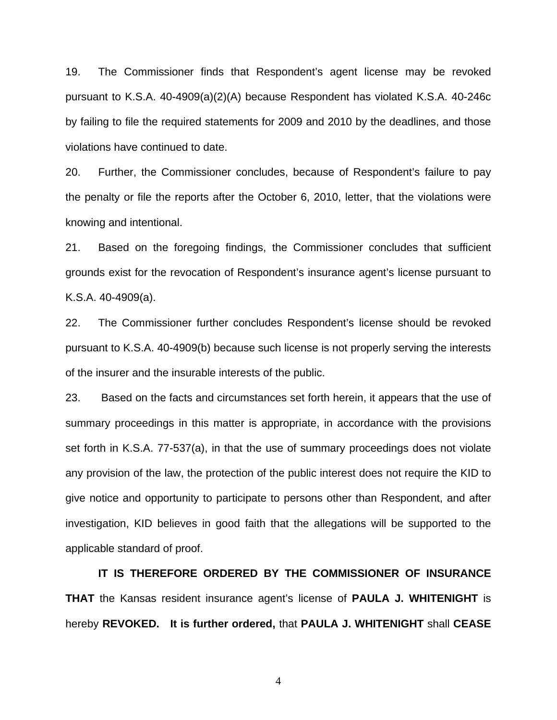19. The Commissioner finds that Respondent's agent license may be revoked pursuant to K.S.A. 40-4909(a)(2)(A) because Respondent has violated K.S.A. 40-246c by failing to file the required statements for 2009 and 2010 by the deadlines, and those violations have continued to date.

20. Further, the Commissioner concludes, because of Respondent's failure to pay the penalty or file the reports after the October 6, 2010, letter, that the violations were knowing and intentional.

21. Based on the foregoing findings, the Commissioner concludes that sufficient grounds exist for the revocation of Respondent's insurance agent's license pursuant to K.S.A. 40-4909(a).

22. The Commissioner further concludes Respondent's license should be revoked pursuant to K.S.A. 40-4909(b) because such license is not properly serving the interests of the insurer and the insurable interests of the public.

23. Based on the facts and circumstances set forth herein, it appears that the use of summary proceedings in this matter is appropriate, in accordance with the provisions set forth in K.S.A. 77-537(a), in that the use of summary proceedings does not violate any provision of the law, the protection of the public interest does not require the KID to give notice and opportunity to participate to persons other than Respondent, and after investigation, KID believes in good faith that the allegations will be supported to the applicable standard of proof.

 **IT IS THEREFORE ORDERED BY THE COMMISSIONER OF INSURANCE THAT** the Kansas resident insurance agent's license of **PAULA J. WHITENIGHT** is hereby **REVOKED. It is further ordered,** that **PAULA J. WHITENIGHT** shall **CEASE** 

4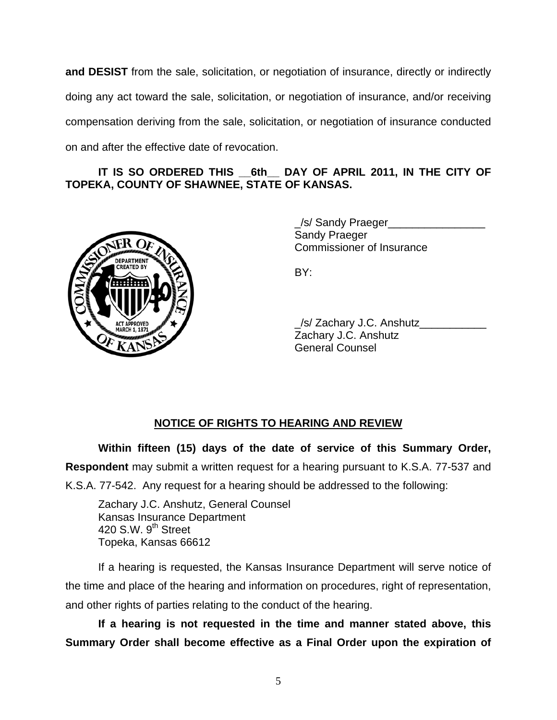**and DESIST** from the sale, solicitation, or negotiation of insurance, directly or indirectly doing any act toward the sale, solicitation, or negotiation of insurance, and/or receiving compensation deriving from the sale, solicitation, or negotiation of insurance conducted on and after the effective date of revocation.

## IT IS SO ORDERED THIS 6th DAY OF APRIL 2011, IN THE CITY OF **TOPEKA, COUNTY OF SHAWNEE, STATE OF KANSAS.**



 \_/s/ Sandy Praeger\_\_\_\_\_\_\_\_\_\_\_\_\_\_\_\_ Sandy Praeger Commissioner of Insurance

| ACT APPROVED | /s/ Zachary J.C. Anshutz |
|--------------|--------------------------|
| OF KANSAS    | Zachary J.C. Anshutz     |
|              | <b>General Counsel</b>   |

## **NOTICE OF RIGHTS TO HEARING AND REVIEW**

**Within fifteen (15) days of the date of service of this Summary Order, Respondent** may submit a written request for a hearing pursuant to K.S.A. 77-537 and K.S.A. 77-542. Any request for a hearing should be addressed to the following:

 Zachary J.C. Anshutz, General Counsel Kansas Insurance Department 420 S.W. 9<sup>th</sup> Street Topeka, Kansas 66612

If a hearing is requested, the Kansas Insurance Department will serve notice of the time and place of the hearing and information on procedures, right of representation, and other rights of parties relating to the conduct of the hearing.

**If a hearing is not requested in the time and manner stated above, this Summary Order shall become effective as a Final Order upon the expiration of**